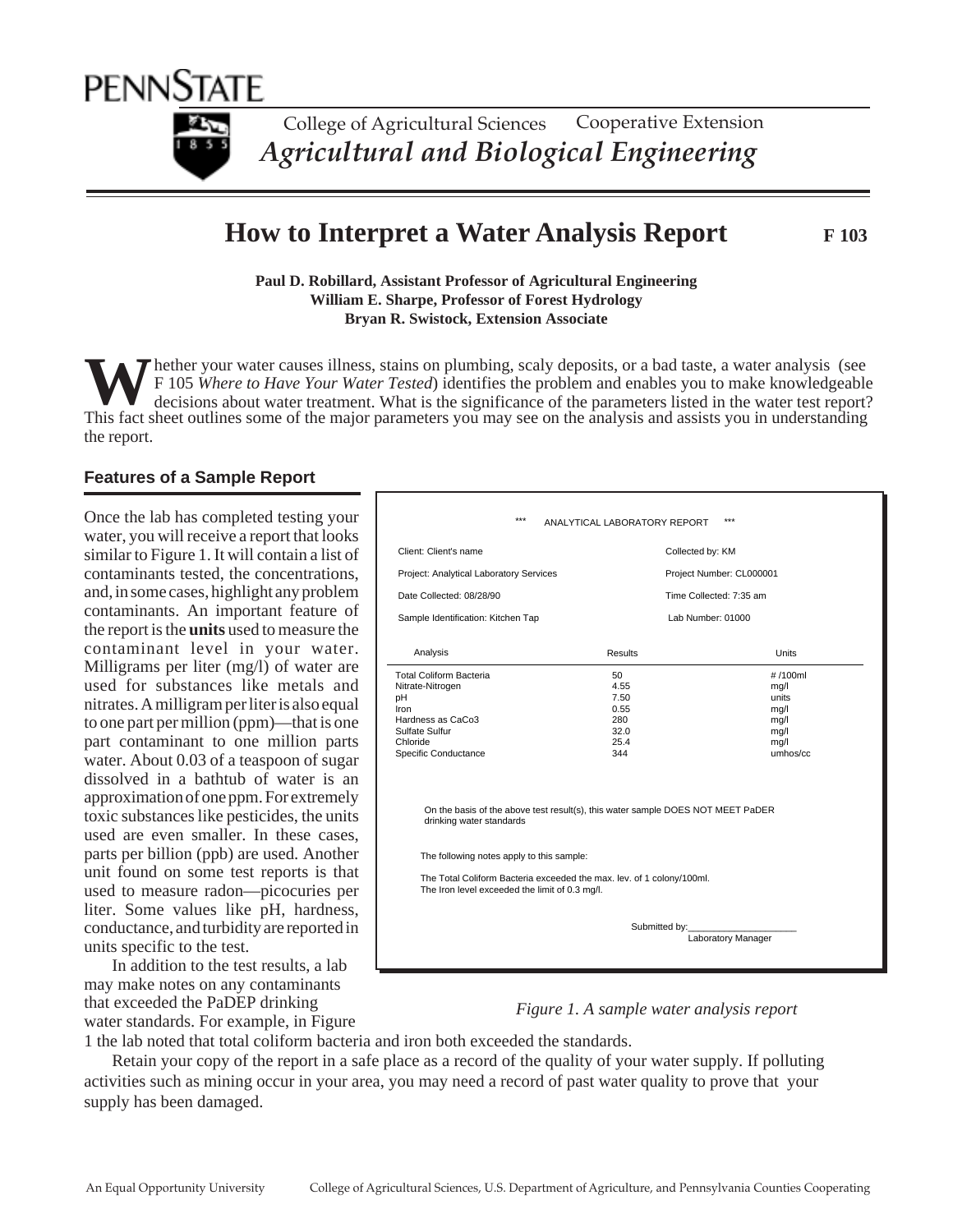

College of Agricultural Sciences *Agricultural and Biological Engineering* Cooperative Extension

# **How to Interpret a Water Analysis Report F 103**

**Paul D. Robillard, Assistant Professor of Agricultural Engineering William E. Sharpe, Professor of Forest Hydrology Bryan R. Swistock, Extension Associate**

W The ther your water causes illness, stains on plumbing, scaly deposits, or a bad taste, a water analysis (see<br>F 105 Where to Have Your Water Tested) identifies the problem and enables you to make knowledgeable<br>decisions the report. hether your water causes illness, stains on plumbing, scaly deposits, or a bad taste, a water analysis (see F 105 *Where to Have Your Water Tested*) identifies the problem and enables you to make knowledgeable decisions about water treatment. What is the significance of the parameters listed in the water test report?

## **Features of a Sample Report**

Once the lab has completed testing your water, you will receive a report that looks similar to Figure 1. It will contain a list of contaminants tested, the concentrations, and, in some cases, highlight any problem contaminants. An important feature of the report is the **units** used to measure the contaminant level in your water. Milligrams per liter (mg/l) of water are used for substances like metals and nitrates. A milligram per liter is also equal to one part per million (ppm)—that is one part contaminant to one million parts water. About 0.03 of a teaspoon of sugar dissolved in a bathtub of water is an approximation of one ppm. For extremely toxic substances like pesticides, the units used are even smaller. In these cases, parts per billion (ppb) are used. Another unit found on some test reports is that used to measure radon—picocuries per liter. Some values like pH, hardness, conductance, and turbidity are reported in units specific to the test.

In addition to the test results, a lab may make notes on any contaminants that exceeded the PaDEP drinking water standards. For example, in Figure

| $***$                                                                                                                                                                   | ANALYTICAL LABORATORY REPORT                                                                                                                | $***$                                                                |
|-------------------------------------------------------------------------------------------------------------------------------------------------------------------------|---------------------------------------------------------------------------------------------------------------------------------------------|----------------------------------------------------------------------|
| Client: Client's name                                                                                                                                                   | Collected by: KM                                                                                                                            |                                                                      |
| Project: Analytical Laboratory Services                                                                                                                                 |                                                                                                                                             | Project Number: CL000001                                             |
| Date Collected: 08/28/90                                                                                                                                                |                                                                                                                                             | Time Collected: 7:35 am                                              |
| Sample Identification: Kitchen Tap                                                                                                                                      |                                                                                                                                             | Lab Number: 01000                                                    |
| Analysis                                                                                                                                                                | <b>Results</b>                                                                                                                              | <b>Units</b>                                                         |
| <b>Total Coliform Bacteria</b><br>Nitrate-Nitrogen<br>рH<br>Iron<br>Hardness as CaCo3<br>Sulfate Sulfur<br>Chloride<br>Specific Conductance<br>drinking water standards | 50<br>4.55<br>7.50<br>0.55<br>280<br>32.0<br>25.4<br>344<br>On the basis of the above test result(s), this water sample DOES NOT MEET PaDER | #/100ml<br>mg/l<br>units<br>mq/l<br>mg/l<br>mg/l<br>mg/l<br>umhos/cc |
| The following notes apply to this sample:<br>The Total Coliform Bacteria exceeded the max. lev. of 1 colony/100ml.<br>The Iron level exceeded the limit of 0.3 mg/l.    |                                                                                                                                             |                                                                      |
| Submitted by:<br>Laboratory Manager                                                                                                                                     |                                                                                                                                             |                                                                      |

### *Figure 1. A sample water analysis report*

1 the lab noted that total coliform bacteria and iron both exceeded the standards.

Retain your copy of the report in a safe place as a record of the quality of your water supply. If polluting activities such as mining occur in your area, you may need a record of past water quality to prove that your supply has been damaged.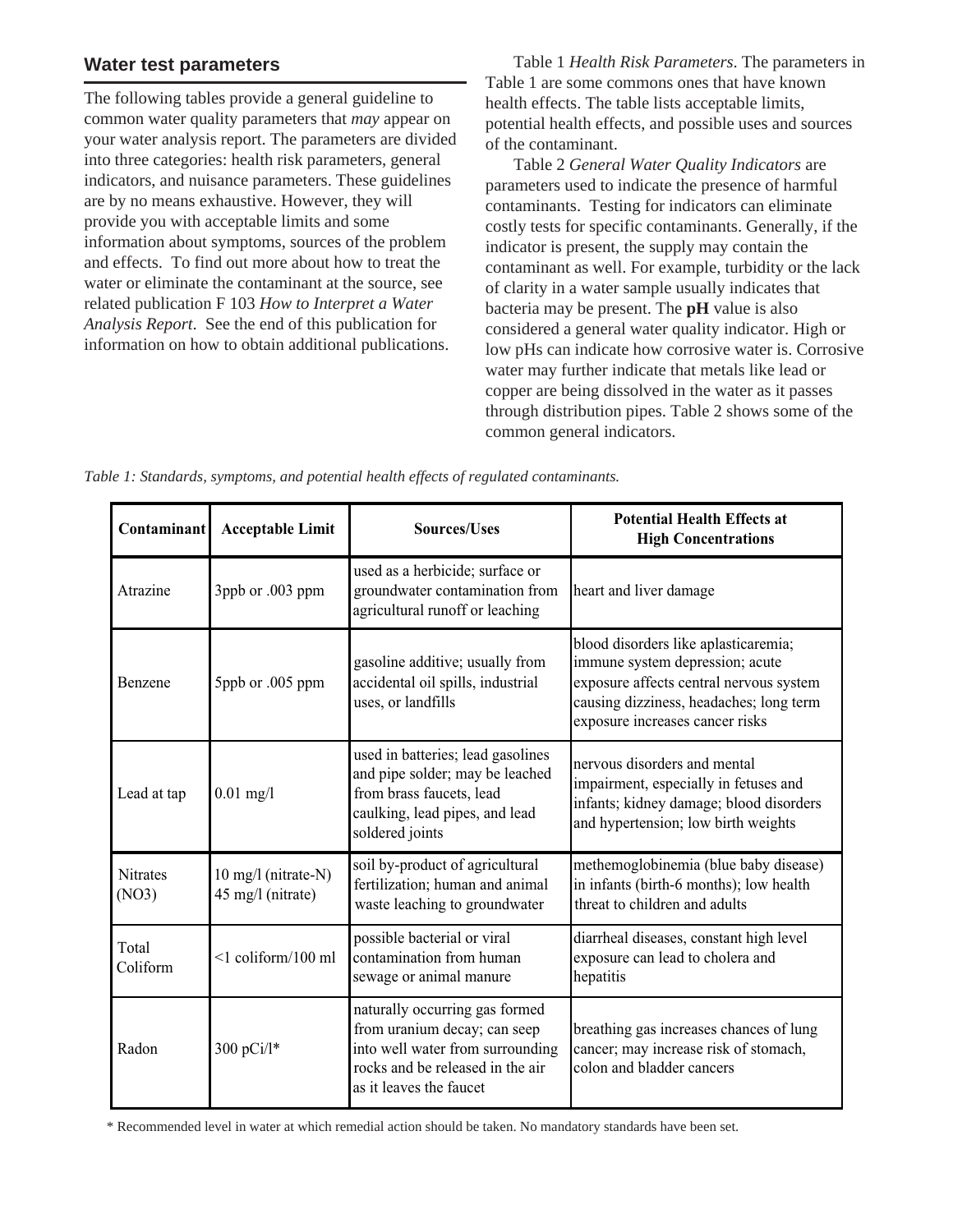## **Water test parameters**

The following tables provide a general guideline to common water quality parameters that *may* appear on your water analysis report. The parameters are divided into three categories: health risk parameters, general indicators, and nuisance parameters. These guidelines are by no means exhaustive. However, they will provide you with acceptable limits and some information about symptoms, sources of the problem and effects. To find out more about how to treat the water or eliminate the contaminant at the source, see related publication F 103 *How to Interpret a Water Analysis Report*. See the end of this publication for information on how to obtain additional publications.

Table 1 *Health Risk Parameters*. The parameters in Table 1 are some commons ones that have known health effects. The table lists acceptable limits, potential health effects, and possible uses and sources of the contaminant.

Table 2 *General Water Quality Indicators* are parameters used to indicate the presence of harmful contaminants. Testing for indicators can eliminate costly tests for specific contaminants. Generally, if the indicator is present, the supply may contain the contaminant as well. For example, turbidity or the lack of clarity in a water sample usually indicates that bacteria may be present. The **pH** value is also considered a general water quality indicator. High or low pHs can indicate how corrosive water is. Corrosive water may further indicate that metals like lead or copper are being dissolved in the water as it passes through distribution pipes. Table 2 shows some of the common general indicators.

| Contaminant              | <b>Acceptable Limit</b>                  | <b>Sources/Uses</b>                                                                                                                                               | <b>Potential Health Effects at</b><br><b>High Concentrations</b>                                                                                                                                 |
|--------------------------|------------------------------------------|-------------------------------------------------------------------------------------------------------------------------------------------------------------------|--------------------------------------------------------------------------------------------------------------------------------------------------------------------------------------------------|
| Atrazine                 | 3ppb or .003 ppm                         | used as a herbicide; surface or<br>groundwater contamination from<br>agricultural runoff or leaching                                                              | heart and liver damage                                                                                                                                                                           |
| Benzene                  | 5ppb or .005 ppm                         | gasoline additive; usually from<br>accidental oil spills, industrial<br>uses, or landfills                                                                        | blood disorders like aplasticaremia;<br>immune system depression; acute<br>exposure affects central nervous system<br>causing dizziness, headaches; long term<br>exposure increases cancer risks |
| Lead at tap              | $0.01$ mg/l                              | used in batteries; lead gasolines<br>and pipe solder; may be leached<br>from brass faucets, lead<br>caulking, lead pipes, and lead<br>soldered joints             | nervous disorders and mental<br>impairment, especially in fetuses and<br>infants; kidney damage; blood disorders<br>and hypertension; low birth weights                                          |
| <b>Nitrates</b><br>(NO3) | 10 mg/l (nitrate-N)<br>45 mg/l (nitrate) | soil by-product of agricultural<br>fertilization; human and animal<br>waste leaching to groundwater                                                               | methemoglobinemia (blue baby disease)<br>in infants (birth-6 months); low health<br>threat to children and adults                                                                                |
| Total<br>Coliform        | $\leq$ 1 coliform/100 ml                 | possible bacterial or viral<br>contamination from human<br>sewage or animal manure                                                                                | diarrheal diseases, constant high level<br>exposure can lead to cholera and<br>hepatitis                                                                                                         |
| Radon                    | 300 pCi/l*                               | naturally occurring gas formed<br>from uranium decay; can seep<br>into well water from surrounding<br>rocks and be released in the air<br>as it leaves the faucet | breathing gas increases chances of lung<br>cancer; may increase risk of stomach,<br>colon and bladder cancers                                                                                    |

*Table 1: Standards, symptoms, and potential health effects of regulated contaminants.*

\* Recommended level in water at which remedial action should be taken. No mandatory standards have been set.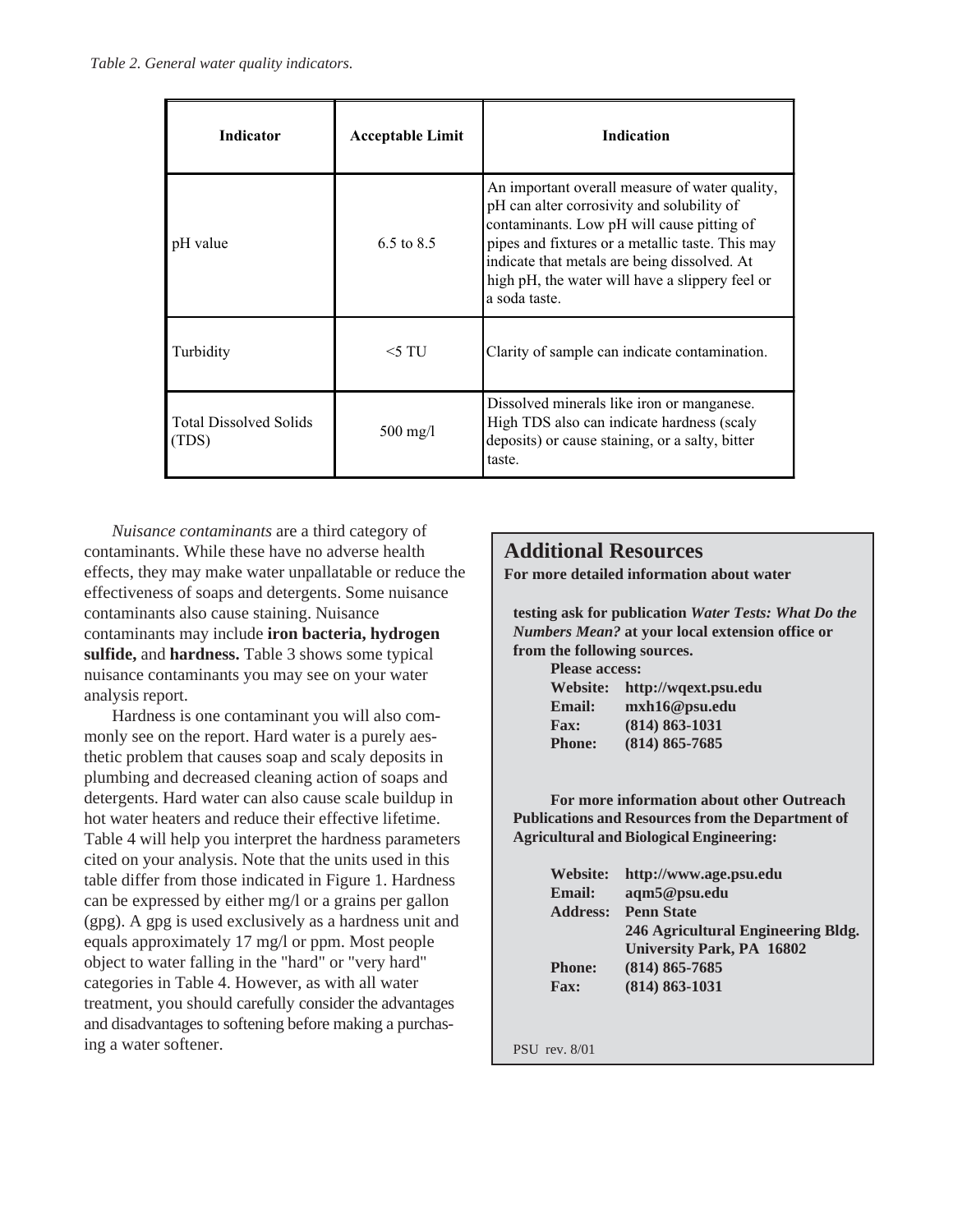| <b>Indicator</b>                       | <b>Acceptable Limit</b> | <b>Indication</b>                                                                                                                                                                                                                                                                                                  |
|----------------------------------------|-------------------------|--------------------------------------------------------------------------------------------------------------------------------------------------------------------------------------------------------------------------------------------------------------------------------------------------------------------|
| pH value                               | 6.5 to $8.5$            | An important overall measure of water quality,<br>pH can alter corrosivity and solubility of<br>contaminants. Low pH will cause pitting of<br>pipes and fixtures or a metallic taste. This may<br>indicate that metals are being dissolved. At<br>high pH, the water will have a slippery feel or<br>a soda taste. |
| Turbidity                              | $<$ 5 TU                | Clarity of sample can indicate contamination.                                                                                                                                                                                                                                                                      |
| <b>Total Dissolved Solids</b><br>(TDS) | $500 \text{ mg/l}$      | Dissolved minerals like iron or manganese.<br>High TDS also can indicate hardness (scaly<br>deposits) or cause staining, or a salty, bitter<br>taste.                                                                                                                                                              |

*Nuisance contaminants* are a third category of contaminants. While these have no adverse health effects, they may make water unpallatable or reduce the effectiveness of soaps and detergents. Some nuisance contaminants also cause staining. Nuisance contaminants may include **iron bacteria, hydrogen sulfide,** and **hardness.** Table 3 shows some typical nuisance contaminants you may see on your water analysis report.

Hardness is one contaminant you will also commonly see on the report. Hard water is a purely aesthetic problem that causes soap and scaly deposits in plumbing and decreased cleaning action of soaps and detergents. Hard water can also cause scale buildup in hot water heaters and reduce their effective lifetime. Table 4 will help you interpret the hardness parameters cited on your analysis. Note that the units used in this table differ from those indicated in Figure 1. Hardness can be expressed by either mg/l or a grains per gallon (gpg). A gpg is used exclusively as a hardness unit and equals approximately 17 mg/l or ppm. Most people object to water falling in the "hard" or "very hard" categories in Table 4. However, as with all water treatment, you should carefully consider the advantages and disadvantages to softening before making a purchasing a water softener.

## **Additional Resources**

**For more detailed information about water**

**testing ask for publication** *Water Tests: What Do the Numbers Mean?* **at your local extension office or from the following sources.**

| <b>Please access:</b> |                               |  |
|-----------------------|-------------------------------|--|
|                       | Website: http://wqext.psu.edu |  |
| <b>Email:</b>         | m x h 16@p su.edu             |  |
| <b>Fax:</b>           | $(814) 863 - 1031$            |  |
| <b>Phone:</b>         | $(814) 865 - 7685$            |  |

**For more information about other Outreach Publications and Resources from the Department of Agricultural and Biological Engineering:**

| <b>Website:</b> | http://www.age.psu.edu             |
|-----------------|------------------------------------|
| <b>Email:</b>   | aqm5@psu.edu                       |
|                 | <b>Address: Penn State</b>         |
|                 | 246 Agricultural Engineering Bldg. |
|                 | <b>University Park, PA 16802</b>   |
| <b>Phone:</b>   | $(814) 865 - 7685$                 |
| <b>Fax:</b>     | $(814) 863 - 1031$                 |
|                 |                                    |

PSU rev. 8/01